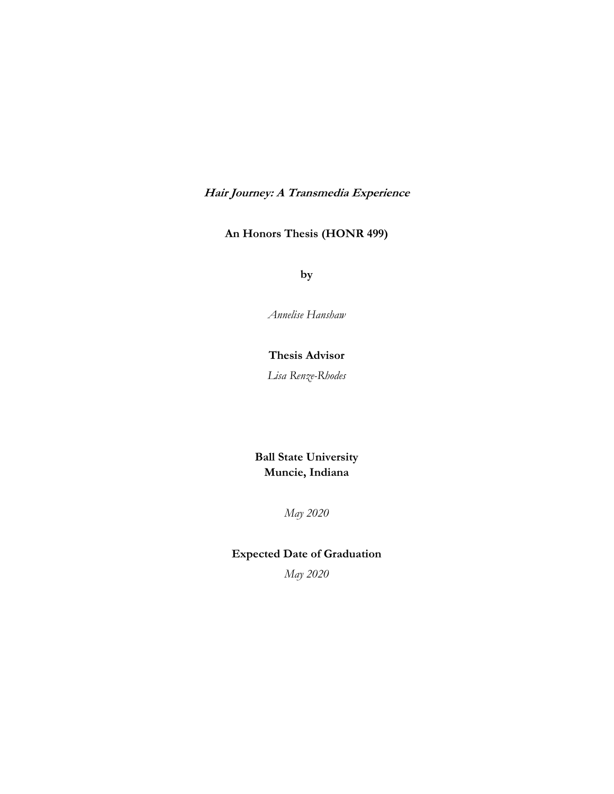**Hair Journey: A Transmedia Experience**

# **An Honors Thesis (HONR 499)**

**by**

*Annelise Hanshaw*

### **Thesis Advisor**

*Lisa Renze-Rhodes*

**Ball State University Muncie, Indiana**

*May 2020*

# **Expected Date of Graduation**

*May 2020*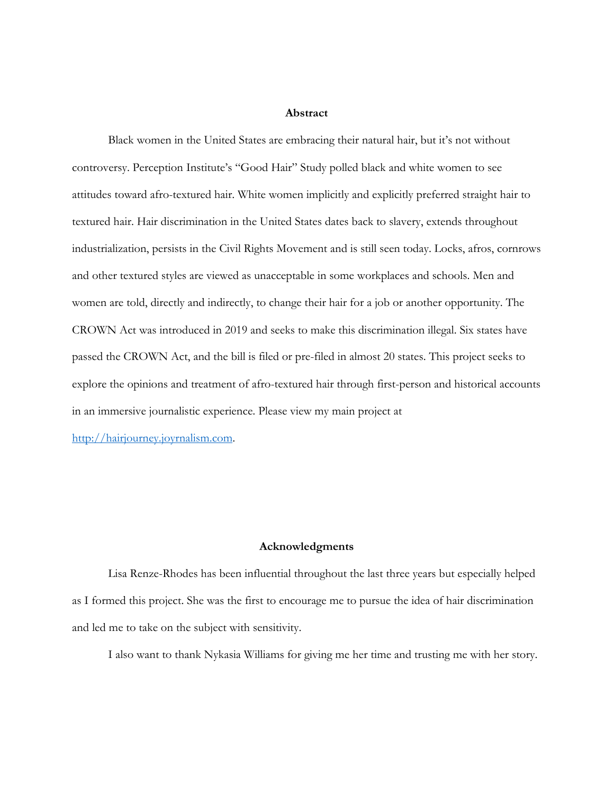#### **Abstract**

Black women in the United States are embracing their natural hair, but it's not without controversy. Perception Institute's "Good Hair" Study polled black and white women to see attitudes toward afro-textured hair. White women implicitly and explicitly preferred straight hair to textured hair. Hair discrimination in the United States dates back to slavery, extends throughout industrialization, persists in the Civil Rights Movement and is still seen today. Locks, afros, cornrows and other textured styles are viewed as unacceptable in some workplaces and schools. Men and women are told, directly and indirectly, to change their hair for a job or another opportunity. The CROWN Act was introduced in 2019 and seeks to make this discrimination illegal. Six states have passed the CROWN Act, and the bill is filed or pre-filed in almost 20 states. This project seeks to explore the opinions and treatment of afro-textured hair through first-person and historical accounts in an immersive journalistic experience. Please view my main project at

http://hairjourney.joyrnalism.com.

#### **Acknowledgments**

Lisa Renze-Rhodes has been influential throughout the last three years but especially helped as I formed this project. She was the first to encourage me to pursue the idea of hair discrimination and led me to take on the subject with sensitivity.

I also want to thank Nykasia Williams for giving me her time and trusting me with her story.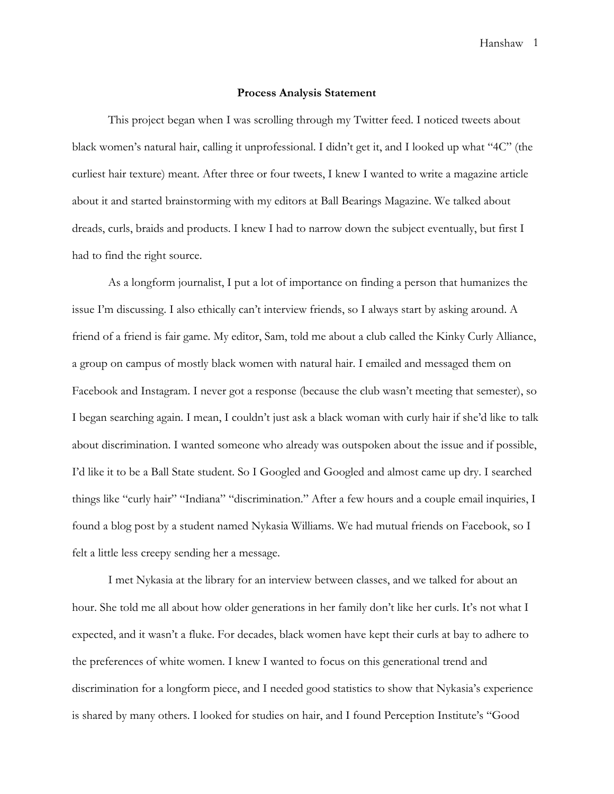#### **Process Analysis Statement**

This project began when I was scrolling through my Twitter feed. I noticed tweets about black women's natural hair, calling it unprofessional. I didn't get it, and I looked up what "4C" (the curliest hair texture) meant. After three or four tweets, I knew I wanted to write a magazine article about it and started brainstorming with my editors at Ball Bearings Magazine. We talked about dreads, curls, braids and products. I knew I had to narrow down the subject eventually, but first I had to find the right source.

As a longform journalist, I put a lot of importance on finding a person that humanizes the issue I'm discussing. I also ethically can't interview friends, so I always start by asking around. A friend of a friend is fair game. My editor, Sam, told me about a club called the Kinky Curly Alliance, a group on campus of mostly black women with natural hair. I emailed and messaged them on Facebook and Instagram. I never got a response (because the club wasn't meeting that semester), so I began searching again. I mean, I couldn't just ask a black woman with curly hair if she'd like to talk about discrimination. I wanted someone who already was outspoken about the issue and if possible, I'd like it to be a Ball State student. So I Googled and Googled and almost came up dry. I searched things like "curly hair" "Indiana" "discrimination." After a few hours and a couple email inquiries, I found a blog post by a student named Nykasia Williams. We had mutual friends on Facebook, so I felt a little less creepy sending her a message.

I met Nykasia at the library for an interview between classes, and we talked for about an hour. She told me all about how older generations in her family don't like her curls. It's not what I expected, and it wasn't a fluke. For decades, black women have kept their curls at bay to adhere to the preferences of white women. I knew I wanted to focus on this generational trend and discrimination for a longform piece, and I needed good statistics to show that Nykasia's experience is shared by many others. I looked for studies on hair, and I found Perception Institute's "Good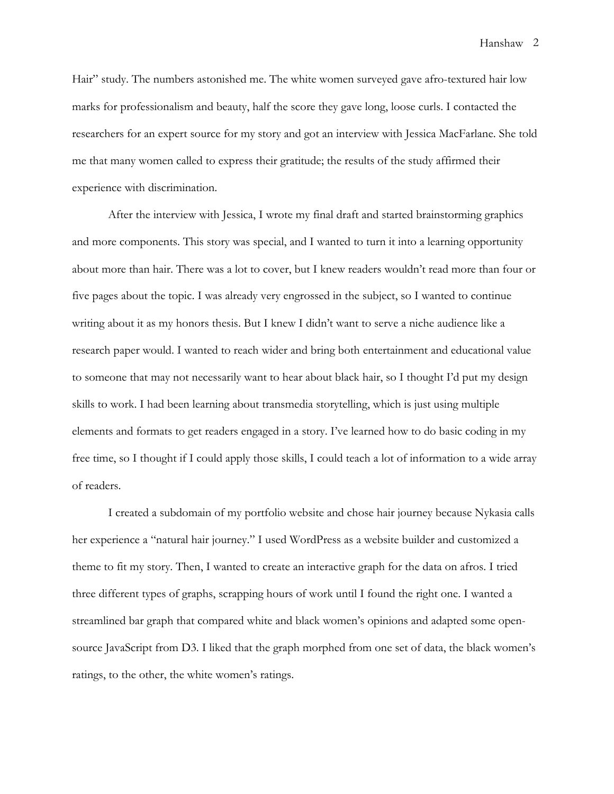Hair" study. The numbers astonished me. The white women surveyed gave afro-textured hair low marks for professionalism and beauty, half the score they gave long, loose curls. I contacted the researchers for an expert source for my story and got an interview with Jessica MacFarlane. She told me that many women called to express their gratitude; the results of the study affirmed their experience with discrimination.

After the interview with Jessica, I wrote my final draft and started brainstorming graphics and more components. This story was special, and I wanted to turn it into a learning opportunity about more than hair. There was a lot to cover, but I knew readers wouldn't read more than four or five pages about the topic. I was already very engrossed in the subject, so I wanted to continue writing about it as my honors thesis. But I knew I didn't want to serve a niche audience like a research paper would. I wanted to reach wider and bring both entertainment and educational value to someone that may not necessarily want to hear about black hair, so I thought I'd put my design skills to work. I had been learning about transmedia storytelling, which is just using multiple elements and formats to get readers engaged in a story. I've learned how to do basic coding in my free time, so I thought if I could apply those skills, I could teach a lot of information to a wide array of readers.

I created a subdomain of my portfolio website and chose hair journey because Nykasia calls her experience a "natural hair journey." I used WordPress as a website builder and customized a theme to fit my story. Then, I wanted to create an interactive graph for the data on afros. I tried three different types of graphs, scrapping hours of work until I found the right one. I wanted a streamlined bar graph that compared white and black women's opinions and adapted some opensource JavaScript from D3. I liked that the graph morphed from one set of data, the black women's ratings, to the other, the white women's ratings.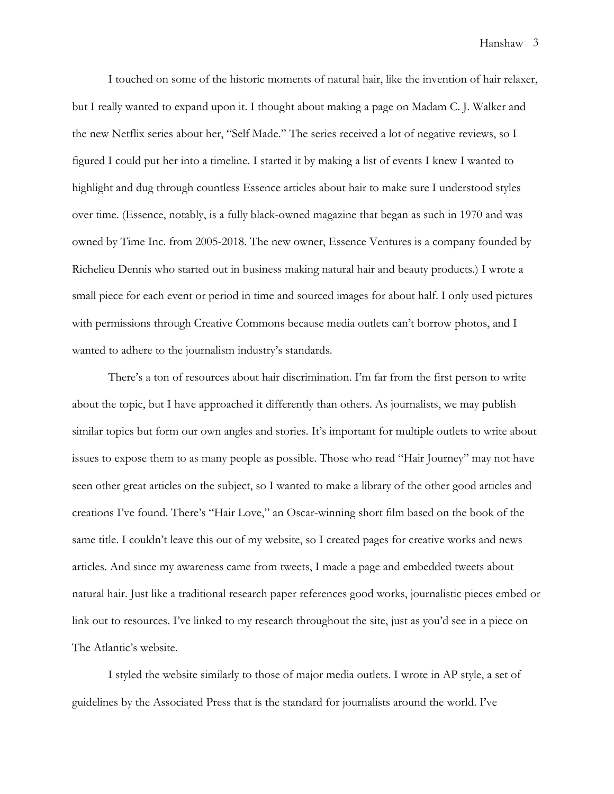I touched on some of the historic moments of natural hair, like the invention of hair relaxer, but I really wanted to expand upon it. I thought about making a page on Madam C. J. Walker and the new Netflix series about her, "Self Made." The series received a lot of negative reviews, so I figured I could put her into a timeline. I started it by making a list of events I knew I wanted to highlight and dug through countless Essence articles about hair to make sure I understood styles over time. (Essence, notably, is a fully black-owned magazine that began as such in 1970 and was owned by Time Inc. from 2005-2018. The new owner, Essence Ventures is a company founded by Richelieu Dennis who started out in business making natural hair and beauty products.) I wrote a small piece for each event or period in time and sourced images for about half. I only used pictures with permissions through Creative Commons because media outlets can't borrow photos, and I wanted to adhere to the journalism industry's standards.

There's a ton of resources about hair discrimination. I'm far from the first person to write about the topic, but I have approached it differently than others. As journalists, we may publish similar topics but form our own angles and stories. It's important for multiple outlets to write about issues to expose them to as many people as possible. Those who read "Hair Journey" may not have seen other great articles on the subject, so I wanted to make a library of the other good articles and creations I've found. There's "Hair Love," an Oscar-winning short film based on the book of the same title. I couldn't leave this out of my website, so I created pages for creative works and news articles. And since my awareness came from tweets, I made a page and embedded tweets about natural hair. Just like a traditional research paper references good works, journalistic pieces embed or link out to resources. I've linked to my research throughout the site, just as you'd see in a piece on The Atlantic's website.

I styled the website similarly to those of major media outlets. I wrote in AP style, a set of guidelines by the Associated Press that is the standard for journalists around the world. I've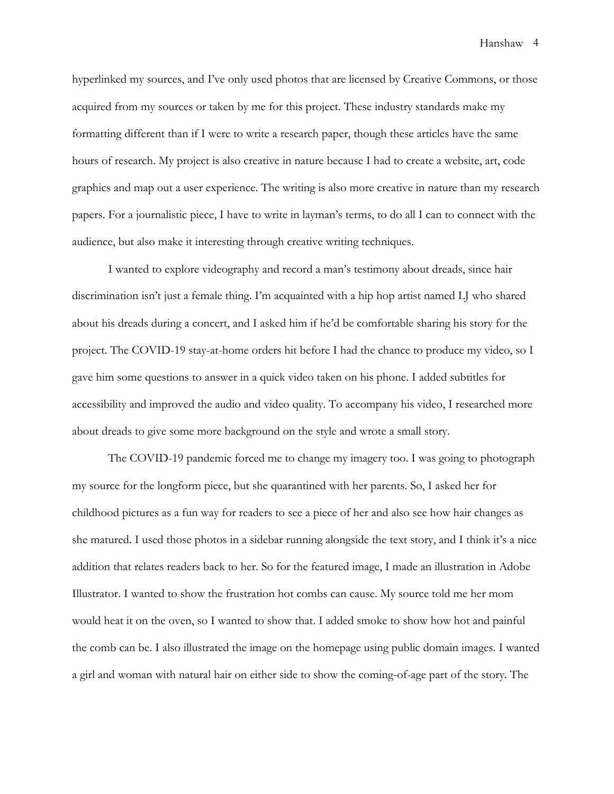hyperlinked my sources, and I've only used photos that are licensed by Creative Commons, or those acquired from my sources or taken by me for this project. These industry standards make my formatting different than if I were to write a research paper, though these articles have the same hours of research. My project is also creative in nature because I had to create a website, art, code graphics and map out a user experience. The writing is also more creative in nature than my research papers. For a journalistic piece, I have to write in layman's terms, to do all I can to connect with the audience, but also make it interesting through creative writing techniques.

I wanted to explore videography and record a man's testimony about dreads, since hair discrimination isn't just a female thing. I'm acquainted with a hip hop artist named LJ who shared about his dreads during a concert, and I asked him if he'd be comfortable sharing his story for the project. The COVID-19 stay-at-home orders hit before I had the chance to produce my video, so I gave him some questions to answer in a quick video taken on his phone. I added subtitles for accessibility and improved the audio and video quality. To accompany his video, I researched more about dreads to give some more background on the style and wrote a small story.

The COVID-19 pandemic forced me to change my imagery too. I was going to photograph my source for the longform piece, but she quarantined with her parents. So, I asked her for childhood pictures as a fun way for readers to see a piece of her and also see how hair changes as she matured. I used those photos in a sidebar running alongside the text story, and I think it's a nice addition that relates readers back to her. So for the featured image, I made an illustration in Adobe Illustrator. I wanted to show the frustration hot combs can cause. My source told me her mom would heat it on the oven, so I wanted to show that. I added smoke to show how hot and painful the comb can be. I also illustrated the image on the homepage using public domain images. I wanted a girl and woman with natural hair on either side to show the coming-of-age part of the story. The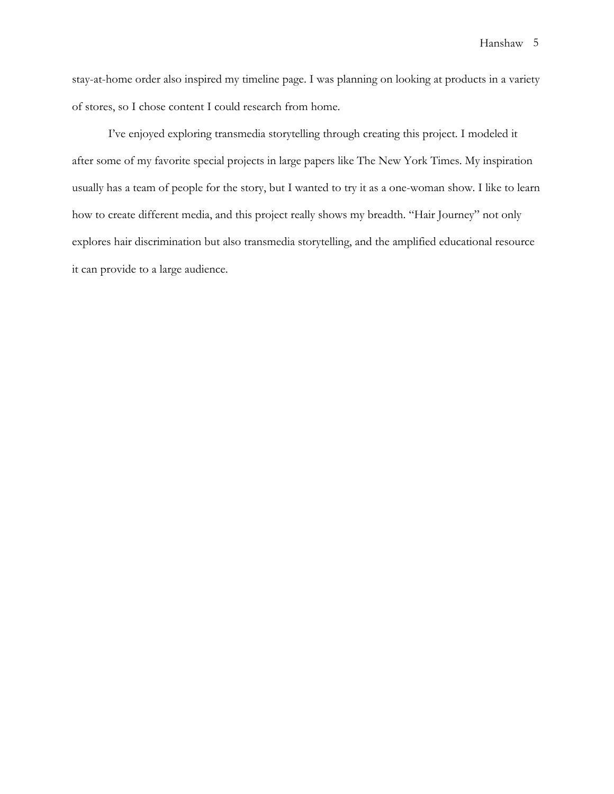stay-at-home order also inspired my timeline page. I was planning on looking at products in a variety of stores, so I chose content I could research from home.

I've enjoyed exploring transmedia storytelling through creating this project. I modeled it after some of my favorite special projects in large papers like The New York Times. My inspiration usually has a team of people for the story, but I wanted to try it as a one-woman show. I like to learn how to create different media, and this project really shows my breadth. "Hair Journey" not only explores hair discrimination but also transmedia storytelling, and the amplified educational resource it can provide to a large audience.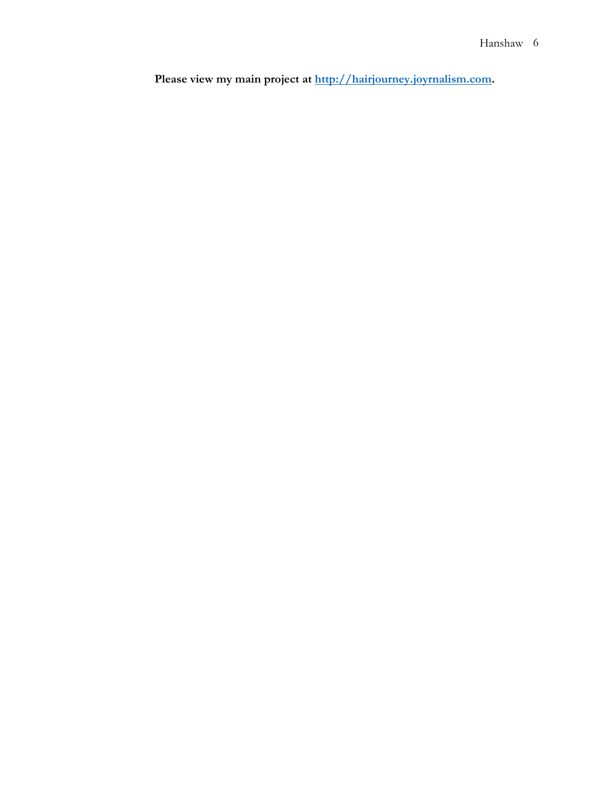Please view my main project at **http://hairjourney.joyrnalism.com**.